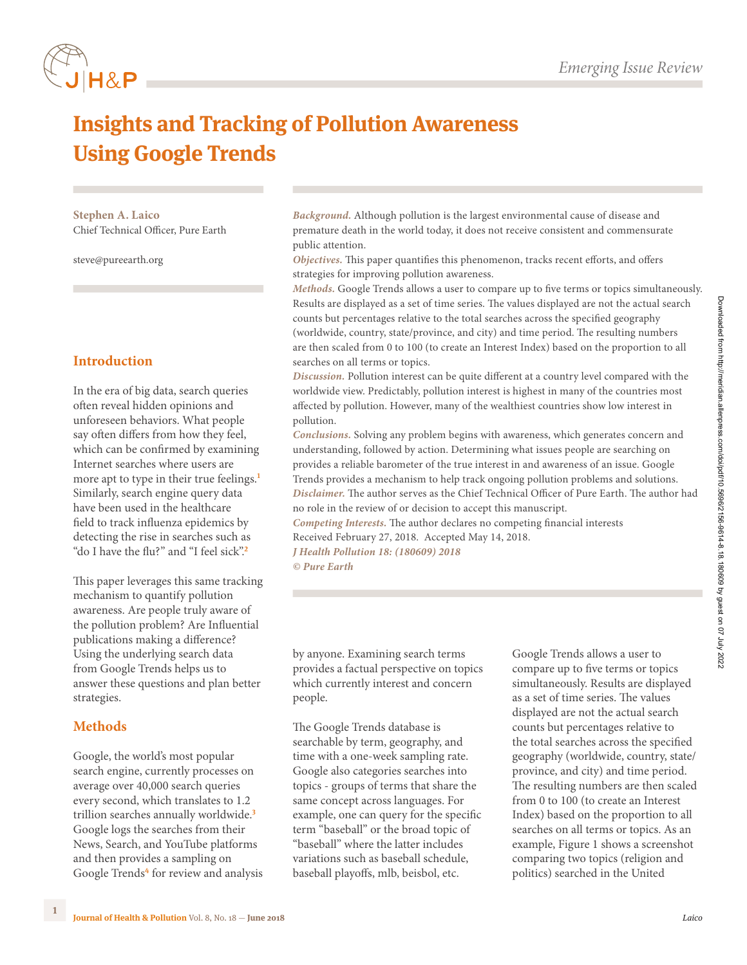

## **Insights and Tracking of Pollution Awareness Using Google Trends**

**Stephen A. Laico** Chief Technical Officer, Pure Earth

steve@pureearth.org

#### **Introduction**

In the era of big data, search queries often reveal hidden opinions and unforeseen behaviors. What people say often differs from how they feel, which can be confirmed by examining Internet searches where users are more apt to type in their true feelings.**<sup>1</sup>** Similarly, search engine query data have been used in the healthcare field to track influenza epidemics by detecting the rise in searches such as "do I have the flu?" and "I feel sick".**<sup>2</sup>**

This paper leverages this same tracking mechanism to quantify pollution awareness. Are people truly aware of the pollution problem? Are Influential publications making a difference? Using the underlying search data from Google Trends helps us to answer these questions and plan better strategies.

#### **Methods**

**1**

Google, the world's most popular search engine, currently processes on average over 40,000 search queries every second, which translates to 1.2 trillion searches annually worldwide.**<sup>3</sup>** Google logs the searches from their News, Search, and YouTube platforms and then provides a sampling on Google Trends**<sup>4</sup>** for review and analysis *Background.* Although pollution is the largest environmental cause of disease and premature death in the world today, it does not receive consistent and commensurate public attention.

*Objectives.* This paper quantifies this phenomenon, tracks recent efforts, and offers strategies for improving pollution awareness.

*Methods.* Google Trends allows a user to compare up to five terms or topics simultaneously. Results are displayed as a set of time series. The values displayed are not the actual search counts but percentages relative to the total searches across the specified geography (worldwide, country, state/province, and city) and time period. The resulting numbers are then scaled from 0 to 100 (to create an Interest Index) based on the proportion to all searches on all terms or topics.

*Discussion.* Pollution interest can be quite different at a country level compared with the worldwide view. Predictably, pollution interest is highest in many of the countries most affected by pollution. However, many of the wealthiest countries show low interest in pollution.

*Conclusions.* Solving any problem begins with awareness, which generates concern and understanding, followed by action. Determining what issues people are searching on provides a reliable barometer of the true interest in and awareness of an issue. Google Trends provides a mechanism to help track ongoing pollution problems and solutions. *Disclaimer.* The author serves as the Chief Technical Officer of Pure Earth. The author had no role in the review of or decision to accept this manuscript.

*Competing Interests.* The author declares no competing financial interests Received February 27, 2018. Accepted May 14, 2018. *J Health Pollution 18: (180609) 2018*

*© Pure Earth*

by anyone. Examining search terms provides a factual perspective on topics which currently interest and concern people.

The Google Trends database is searchable by term, geography, and time with a one-week sampling rate. Google also categories searches into topics - groups of terms that share the same concept across languages. For example, one can query for the specific term "baseball" or the broad topic of "baseball" where the latter includes variations such as baseball schedule, baseball playoffs, mlb, beisbol, etc.

Google Trends allows a user to compare up to five terms or topics simultaneously. Results are displayed as a set of time series. The values displayed are not the actual search counts but percentages relative to the total searches across the specified geography (worldwide, country, state/ province, and city) and time period. The resulting numbers are then scaled from 0 to 100 (to create an Interest Index) based on the proportion to all searches on all terms or topics. As an example, Figure 1 shows a screenshot comparing two topics (religion and politics) searched in the United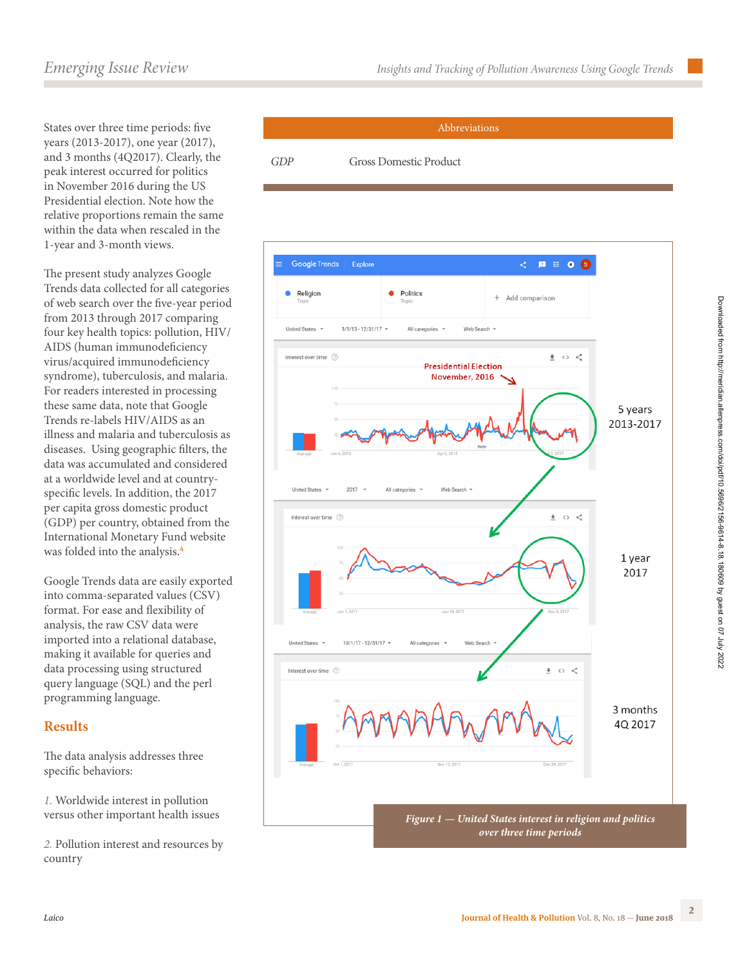### *Emerging Issue Review*

States over three time periods: five years (2013-2017), one year (2017), and 3 months (4Q2017). Clearly, the peak interest occurred for politics in November 2016 during the US Presidential election. Note how the relative proportions remain the same within the data when rescaled in the 1-year and 3-month views.

The present study analyzes Google Trends data collected for all categories of web search over the five-year period from 2013 through 2017 comparing four key health topics: pollution, HIV/ AIDS (human immunodeficiency virus/acquired immunodeficiency syndrome), tuberculosis, and malaria. For readers interested in processing these same data, note that Google Trends re-labels HIV/AIDS as an illness and malaria and tuberculosis as diseases. Using geographic filters, the data was accumulated and considered at a worldwide level and at countryspecific levels. In addition, the 2017 per capita gross domestic product (GDP) per country, obtained from the International Monetary Fund website was folded into the analysis.**<sup>4</sup>**

Google Trends data are easily exported into comma-separated values (CSV) format. For ease and flexibility of analysis, the raw CSV data were imported into a relational database, making it available for queries and data processing using structured query language (SQL) and the perl programming language.

#### **Results**

The data analysis addresses three specific behaviors:

*1.* Worldwide interest in pollution versus other important health issues

*2.* Pollution interest and resources by country

#### Abbreviations

*GDP* Gross Domestic Product

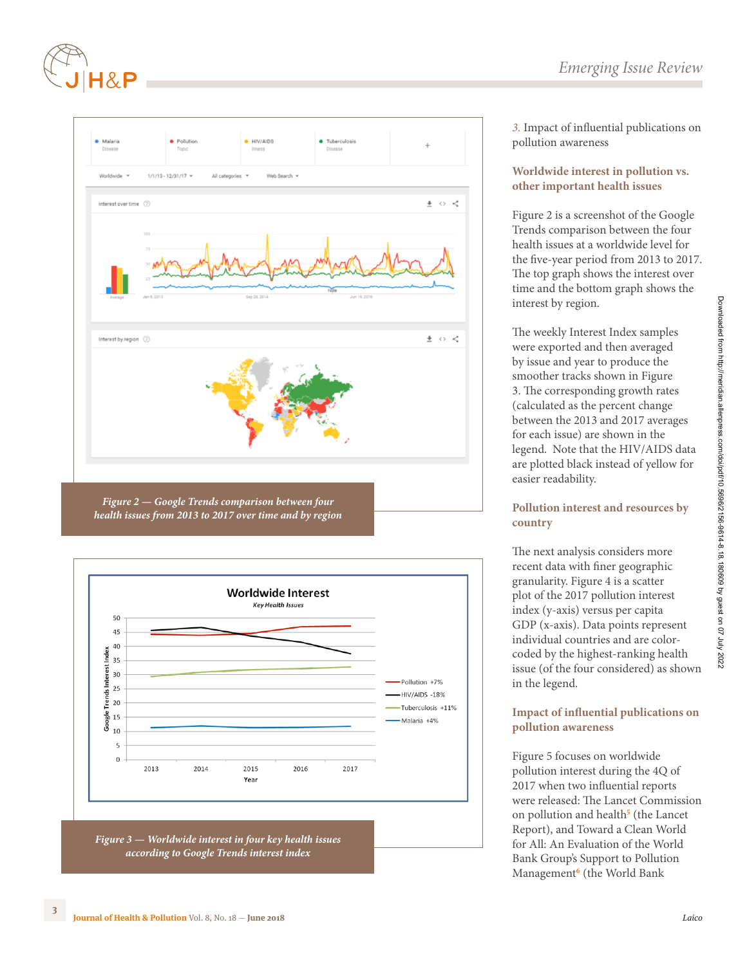# **H&P**





*3.* Impact of influential publications on pollution awareness

#### **Worldwide interest in pollution vs. other important health issues**

Figure 2 is a screenshot of the Google Trends comparison between the four health issues at a worldwide level for the five-year period from 2013 to 2017. The top graph shows the interest over time and the bottom graph shows the interest by region.

The weekly Interest Index samples were exported and then averaged by issue and year to produce the smoother tracks shown in Figure 3. The corresponding growth rates (calculated as the percent change between the 2013 and 2017 averages for each issue) are shown in the legend. Note that the HIV/AIDS data are plotted black instead of yellow for easier readability.

#### **Pollution interest and resources by country**

The next analysis considers more recent data with finer geographic granularity. Figure 4 is a scatter plot of the 2017 pollution interest index (y-axis) versus per capita GDP (x-axis). Data points represent individual countries and are colorcoded by the highest-ranking health issue (of the four considered) as shown in the legend.

#### **Impact of influential publications on pollution awareness**

Figure 5 focuses on worldwide pollution interest during the 4Q of 2017 when two influential reports were released: The Lancet Commission on pollution and health **5** (the Lancet Report), and Toward a Clean World for All: An Evaluation of the World Bank Group's Support to Pollution Management **6** (the World Bank

**3**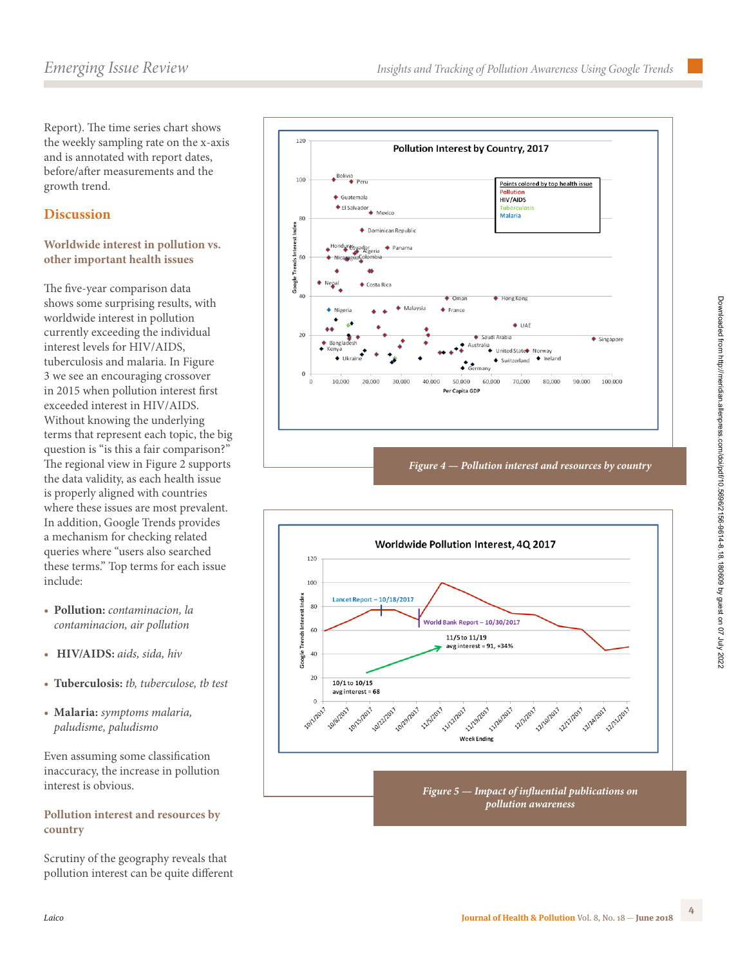*Insights and Tracking of Pollution Awareness Using Google Trends*

Report). The time series chart shows the weekly sampling rate on the x-axis and is annotated with report dates, before/after measurements and the growth trend.

#### **Discussion**

#### **Worldwide interest in pollution vs. other important health issues**

The five-year comparison data shows some surprising results, with worldwide interest in pollution currently exceeding the individual interest levels for HIV/AIDS, tuberculosis and malaria. In Figure 3 we see an encouraging crossover in 2015 when pollution interest first exceeded interest in HIV/AIDS. Without knowing the underlying terms that represent each topic, the big question is "is this a fair comparison?" The regional view in Figure 2 supports the data validity, as each health issue is properly aligned with countries where these issues are most prevalent. In addition, Google Trends provides a mechanism for checking related queries where "users also searched these terms." Top terms for each issue include:

- **Pollution:** *contaminacion, la contaminacion, air pollution*
- **HIV/AIDS:** *aids, sida, hiv*
- **Tuberculosis:** *tb, tuberculose, tb test*
- **Malaria:** *symptoms malaria, paludisme, paludismo*

Even assuming some classification inaccuracy, the increase in pollution interest is obvious.

#### **Pollution interest and resources by country**

Scrutiny of the geography reveals that pollution interest can be quite different



*Figure 4 — Pollution interest and resources by country*



*Figure 5 — Impact of influential publications on pollution awareness*